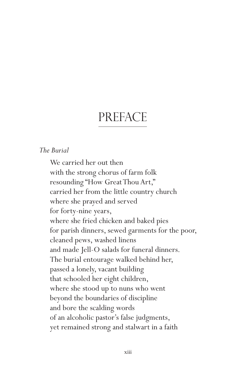### PREFACE

#### *The Burial*

We carried her out then with the strong chorus of farm folk resounding "How Great Thou Art," carried her from the little country church where she prayed and served for forty-nine years, where she fried chicken and baked pies for parish dinners, sewed garments for the poor, cleaned pews, washed linens and made Jell-O salads for funeral dinners. The burial entourage walked behind her, passed a lonely, vacant building that schooled her eight children, where she stood up to nuns who went beyond the boundaries of discipline and bore the scalding words of an alcoholic pastor's false judgments, yet remained strong and stalwart in a faith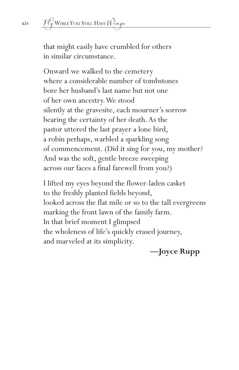that might easily have crumbled for others in similar circumstance.

Onward we walked to the cemetery where a considerable number of tombstones bore her husband's last name but not one of her own ancestry. We stood silently at the gravesite, each mourner's sorrow bearing the certainty of her death. As the pastor uttered the last prayer a lone bird, a robin perhaps, warbled a sparkling song of commencement. (Did it sing for you, my mother? And was the soft, gentle breeze sweeping across our faces a final farewell from you?)

I lifted my eyes beyond the flower-laden casket to the freshly planted fields beyond, looked across the flat mile or so to the tall evergreens marking the front lawn of the family farm. In that brief moment I glimpsed the wholeness of life's quickly erased journey, and marveled at its simplicity.

**—Joyce Rupp**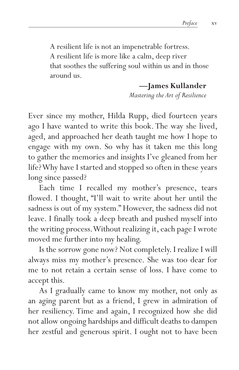A resilient life is not an impenetrable fortress. A resilient life is more like a calm, deep river that soothes the suffering soul within us and in those around us.

> **—James Kullander**  *Mastering the Art of Resilience*

Ever since my mother, Hilda Rupp, died fourteen years ago I have wanted to write this book. The way she lived, aged, and approached her death taught me how I hope to engage with my own. So why has it taken me this long to gather the memories and insights I've gleaned from her life? Why have I started and stopped so often in these years long since passed?

Each time I recalled my mother's presence, tears flowed. I thought, "I'll wait to write about her until the sadness is out of my system." However, the sadness did not leave. I finally took a deep breath and pushed myself into the writing process. Without realizing it, each page I wrote moved me further into my healing.

Is the sorrow gone now? Not completely. I realize I will always miss my mother's presence. She was too dear for me to not retain a certain sense of loss. I have come to accept this.

As I gradually came to know my mother, not only as an aging parent but as a friend, I grew in admiration of her resiliency. Time and again, I recognized how she did not allow ongoing hardships and difficult deaths to dampen her zestful and generous spirit. I ought not to have been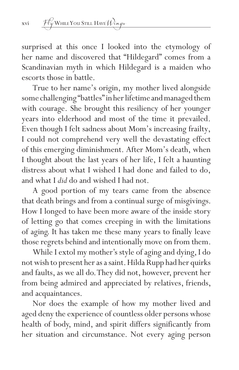surprised at this once I looked into the etymology of her name and discovered that "Hildegard" comes from a Scandinavian myth in which Hildegard is a maiden who escorts those in battle.

True to her name's origin, my mother lived alongside some challenging "battles" in her lifetime and managed them with courage. She brought this resiliency of her younger years into elderhood and most of the time it prevailed. Even though I felt sadness about Mom's increasing frailty, I could not comprehend very well the devastating effect of this emerging diminishment. After Mom's death, when I thought about the last years of her life, I felt a haunting distress about what I wished I had done and failed to do, and what I *did* do and wished I had not.

A good portion of my tears came from the absence that death brings and from a continual surge of misgivings. How I longed to have been more aware of the inside story of letting go that comes creeping in with the limitations of aging. It has taken me these many years to finally leave those regrets behind and intentionally move on from them.

While I extol my mother's style of aging and dying, I do not wish to present her as a saint. Hilda Rupp had her quirks and faults, as we all do. They did not, however, prevent her from being admired and appreciated by relatives, friends, and acquaintances.

Nor does the example of how my mother lived and aged deny the experience of countless older persons whose health of body, mind, and spirit differs significantly from her situation and circumstance. Not every aging person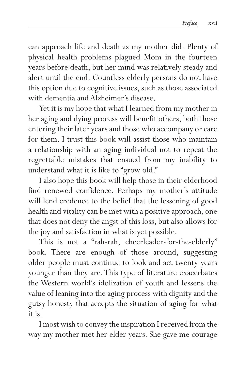can approach life and death as my mother did. Plenty of physical health problems plagued Mom in the fourteen years before death, but her mind was relatively steady and alert until the end. Countless elderly persons do not have this option due to cognitive issues, such as those associated with dementia and Alzheimer's disease.

Yet it is my hope that what I learned from my mother in her aging and dying process will benefit others, both those entering their later years and those who accompany or care for them. I trust this book will assist those who maintain a relationship with an aging individual not to repeat the regrettable mistakes that ensued from my inability to understand what it is like to "grow old."

I also hope this book will help those in their elderhood find renewed confidence. Perhaps my mother's attitude will lend credence to the belief that the lessening of good health and vitality can be met with a positive approach, one that does not deny the angst of this loss, but also allows for the joy and satisfaction in what is yet possible.

This is not a "rah-rah, cheerleader-for-the-elderly" book. There are enough of those around, suggesting older people must continue to look and act twenty years younger than they are. This type of literature exacerbates the Western world's idolization of youth and lessens the value of leaning into the aging process with dignity and the gutsy honesty that accepts the situation of aging for what it is.

I most wish to convey the inspiration I received from the way my mother met her elder years. She gave me courage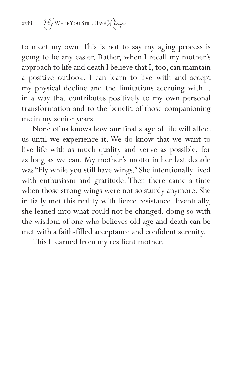to meet my own. This is not to say my aging process is going to be any easier. Rather, when I recall my mother's approach to life and death I believe that I, too, can maintain a positive outlook. I can learn to live with and accept my physical decline and the limitations accruing with it in a way that contributes positively to my own personal transformation and to the benefit of those companioning me in my senior years.

None of us knows how our final stage of life will affect us until we experience it. We do know that we want to live life with as much quality and verve as possible, for as long as we can. My mother's motto in her last decade was "Fly while you still have wings." She intentionally lived with enthusiasm and gratitude. Then there came a time when those strong wings were not so sturdy anymore. She initially met this reality with fierce resistance. Eventually, she leaned into what could not be changed, doing so with the wisdom of one who believes old age and death can be met with a faith-filled acceptance and confident serenity.

This I learned from my resilient mother.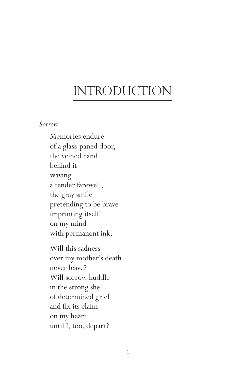## **INTRODUCTION**

#### *Sorrow*

Memories endure of a glass-paned door, the veined hand behind it waving a tender farewell, the gray smile pretending to be brave imprinting itself on my mind with permanent ink. Will this sadness over my mother's death never leave? Will sorrow huddle in the strong shell of determined grief and fix its claim on my heart until I, too, depart?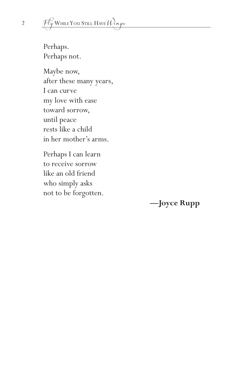Perhaps. Perhaps not.

Maybe now, after these many years, I can curve my love with ease toward sorrow, until peace rests like a child in her mother's arms.

Perhaps I can learn to receive sorrow like an old friend who simply asks not to be forgotten.

**—Joyce Rupp**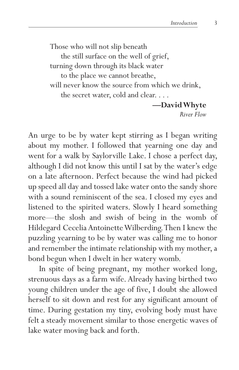Those who will not slip beneath the still surface on the well of grief, turning down through its black water to the place we cannot breathe, will never know the source from which we drink, the secret water, cold and clear. . . .

**—David Whyte**  *River Flow*

An urge to be by water kept stirring as I began writing about my mother. I followed that yearning one day and went for a walk by Saylorville Lake. I chose a perfect day, although I did not know this until I sat by the water's edge on a late afternoon. Perfect because the wind had picked up speed all day and tossed lake water onto the sandy shore with a sound reminiscent of the sea. I closed my eyes and listened to the spirited waters. Slowly I heard something more—the slosh and swish of being in the womb of Hildegard Cecelia Antoinette Wilberding. Then I knew the puzzling yearning to be by water was calling me to honor and remember the intimate relationship with my mother, a bond begun when I dwelt in her watery womb.

In spite of being pregnant, my mother worked long, strenuous days as a farm wife. Already having birthed two young children under the age of five, I doubt she allowed herself to sit down and rest for any significant amount of time. During gestation my tiny, evolving body must have felt a steady movement similar to those energetic waves of lake water moving back and forth.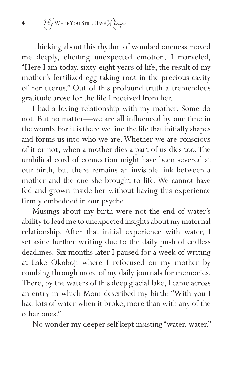Thinking about this rhythm of wombed oneness moved me deeply, eliciting unexpected emotion. I marveled, "Here I am today, sixty-eight years of life, the result of my mother's fertilized egg taking root in the precious cavity of her uterus." Out of this profound truth a tremendous gratitude arose for the life I received from her.

I had a loving relationship with my mother. Some do not. But no matter—we are all influenced by our time in the womb. For it is there we find the life that initially shapes and forms us into who we are. Whether we are conscious of it or not, when a mother dies a part of us dies too. The umbilical cord of connection might have been severed at our birth, but there remains an invisible link between a mother and the one she brought to life. We cannot have fed and grown inside her without having this experience firmly embedded in our psyche.

Musings about my birth were not the end of water's ability to lead me to unexpected insights about my maternal relationship. After that initial experience with water, I set aside further writing due to the daily push of endless deadlines. Six months later I paused for a week of writing at Lake Okoboji where I refocused on my mother by combing through more of my daily journals for memories. There, by the waters of this deep glacial lake, I came across an entry in which Mom described my birth: "With you I had lots of water when it broke, more than with any of the other ones."

No wonder my deeper self kept insisting "water, water."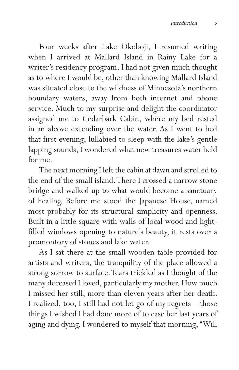Four weeks after Lake Okoboji, I resumed writing when I arrived at Mallard Island in Rainy Lake for a writer's residency program. I had not given much thought as to where I would be, other than knowing Mallard Island was situated close to the wildness of Minnesota's northern boundary waters, away from both internet and phone service. Much to my surprise and delight the coordinator assigned me to Cedarbark Cabin, where my bed rested in an alcove extending over the water. As I went to bed that first evening, lullabied to sleep with the lake's gentle lapping sounds, I wondered what new treasures water held for me.

The next morning I left the cabin at dawn and strolled to the end of the small island. There I crossed a narrow stone bridge and walked up to what would become a sanctuary of healing. Before me stood the Japanese House*,* named most probably for its structural simplicity and openness. Built in a little square with walls of local wood and lightfilled windows opening to nature's beauty, it rests over a promontory of stones and lake water.

As I sat there at the small wooden table provided for artists and writers, the tranquility of the place allowed a strong sorrow to surface. Tears trickled as I thought of the many deceased I loved, particularly my mother. How much I missed her still, more than eleven years after her death. I realized, too, I still had not let go of my regrets—those things I wished I had done more of to ease her last years of aging and dying. I wondered to myself that morning, "Will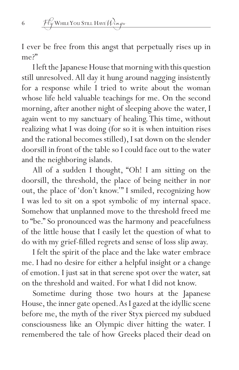I ever be free from this angst that perpetually rises up in me?"

I left the Japanese House that morning with this question still unresolved. All day it hung around nagging insistently for a response while I tried to write about the woman whose life held valuable teachings for me. On the second morning, after another night of sleeping above the water, I again went to my sanctuary of healing. This time, without realizing what I was doing (for so it is when intuition rises and the rational becomes stilled), I sat down on the slender doorsill in front of the table so I could face out to the water and the neighboring islands.

All of a sudden I thought, "Oh! I am sitting on the doorsill, the threshold, the place of being neither in nor out, the place of 'don't know.'" I smiled, recognizing how I was led to sit on a spot symbolic of my internal space. Somehow that unplanned move to the threshold freed me to "be." So pronounced was the harmony and peacefulness of the little house that I easily let the question of what to do with my grief-filled regrets and sense of loss slip away.

I felt the spirit of the place and the lake water embrace me. I had no desire for either a helpful insight or a change of emotion. I just sat in that serene spot over the water, sat on the threshold and waited. For what I did not know.

Sometime during those two hours at the Japanese House, the inner gate opened. As I gazed at the idyllic scene before me, the myth of the river Styx pierced my subdued consciousness like an Olympic diver hitting the water. I remembered the tale of how Greeks placed their dead on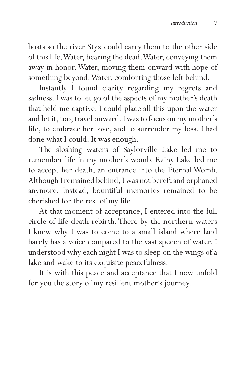boats so the river Styx could carry them to the other side of this life. Water, bearing the dead. Water, conveying them away in honor. Water, moving them onward with hope of something beyond. Water, comforting those left behind.

Instantly I found clarity regarding my regrets and sadness. I was to let go of the aspects of my mother's death that held me captive. I could place all this upon the water and let it, too, travel onward. I was to focus on my mother's life, to embrace her love, and to surrender my loss. I had done what I could. It was enough.

The sloshing waters of Saylorville Lake led me to remember life in my mother's womb. Rainy Lake led me to accept her death, an entrance into the Eternal Womb. Although I remained behind, I was not bereft and orphaned anymore. Instead, bountiful memories remained to be cherished for the rest of my life.

At that moment of acceptance, I entered into the full circle of life-death-rebirth. There by the northern waters I knew why I was to come to a small island where land barely has a voice compared to the vast speech of water. I understood why each night I was to sleep on the wings of a lake and wake to its exquisite peacefulness.

It is with this peace and acceptance that I now unfold for you the story of my resilient mother's journey.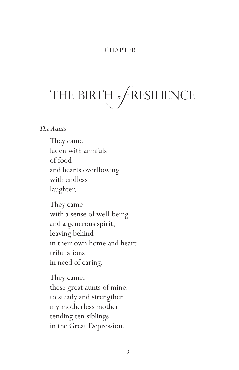#### CHAPTER 1

# THE BIRTH of RESILIENCE

*The Aunts*

They came laden with armfuls of food and hearts overflowing with endless laughter.

They came with a sense of well-being and a generous spirit, leaving behind in their own home and heart tribulations in need of caring.

They came, these great aunts of mine, to steady and strengthen my motherless mother tending ten siblings in the Great Depression.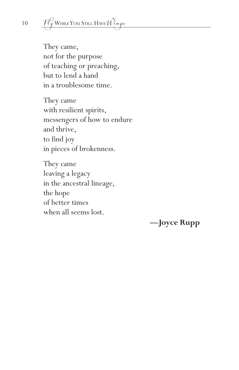They came, not for the purpose of teaching or preaching, but to lend a hand in a troublesome time.

They came with resilient spirits, messengers of how to endure and thrive, to find joy in pieces of brokenness.

They came leaving a legacy in the ancestral lineage, the hope of better times when all seems lost.

**—Joyce Rupp**